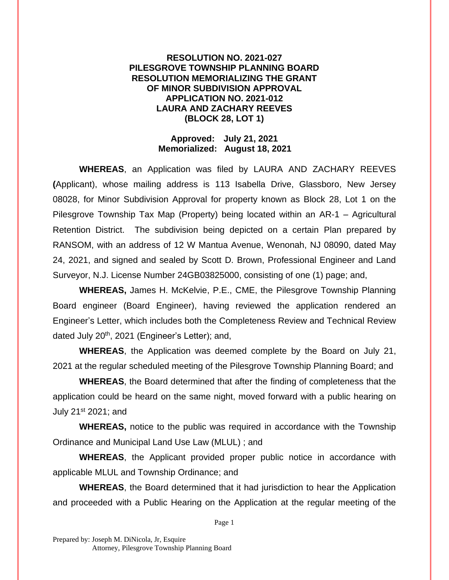## **RESOLUTION NO. 2021-027 PILESGROVE TOWNSHIP PLANNING BOARD RESOLUTION MEMORIALIZING THE GRANT OF MINOR SUBDIVISION APPROVAL APPLICATION NO. 2021-012 LAURA AND ZACHARY REEVES (BLOCK 28, LOT 1)**

## **Approved: July 21, 2021 Memorialized: August 18, 2021**

**WHEREAS**, an Application was filed by LAURA AND ZACHARY REEVES **(**Applicant), whose mailing address is 113 Isabella Drive, Glassboro, New Jersey 08028, for Minor Subdivision Approval for property known as Block 28, Lot 1 on the Pilesgrove Township Tax Map (Property) being located within an AR-1 – Agricultural Retention District. The subdivision being depicted on a certain Plan prepared by RANSOM, with an address of 12 W Mantua Avenue, Wenonah, NJ 08090, dated May 24, 2021, and signed and sealed by Scott D. Brown, Professional Engineer and Land Surveyor, N.J. License Number 24GB03825000, consisting of one (1) page; and,

**WHEREAS,** James H. McKelvie, P.E., CME, the Pilesgrove Township Planning Board engineer (Board Engineer), having reviewed the application rendered an Engineer's Letter, which includes both the Completeness Review and Technical Review dated July 20th, 2021 (Engineer's Letter); and,

**WHEREAS**, the Application was deemed complete by the Board on July 21, 2021 at the regular scheduled meeting of the Pilesgrove Township Planning Board; and

**WHEREAS**, the Board determined that after the finding of completeness that the application could be heard on the same night, moved forward with a public hearing on July 21st 2021; and

**WHEREAS,** notice to the public was required in accordance with the Township Ordinance and Municipal Land Use Law (MLUL) ; and

**WHEREAS**, the Applicant provided proper public notice in accordance with applicable MLUL and Township Ordinance; and

**WHEREAS**, the Board determined that it had jurisdiction to hear the Application and proceeded with a Public Hearing on the Application at the regular meeting of the

Page 1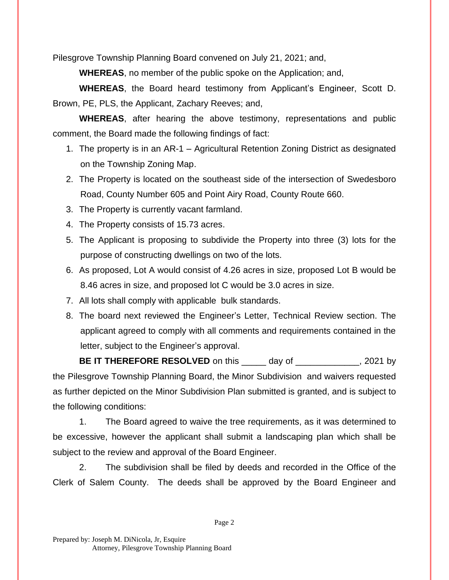Pilesgrove Township Planning Board convened on July 21, 2021; and,

**WHEREAS**, no member of the public spoke on the Application; and,

**WHEREAS**, the Board heard testimony from Applicant's Engineer, Scott D. Brown, PE, PLS, the Applicant, Zachary Reeves; and,

**WHEREAS**, after hearing the above testimony, representations and public comment, the Board made the following findings of fact:

- 1. The property is in an AR-1 Agricultural Retention Zoning District as designated on the Township Zoning Map.
- 2. The Property is located on the southeast side of the intersection of Swedesboro Road, County Number 605 and Point Airy Road, County Route 660.
- 3. The Property is currently vacant farmland.
- 4. The Property consists of 15.73 acres.
- 5. The Applicant is proposing to subdivide the Property into three (3) lots for the purpose of constructing dwellings on two of the lots.
- 6. As proposed, Lot A would consist of 4.26 acres in size, proposed Lot B would be 8.46 acres in size, and proposed lot C would be 3.0 acres in size.
- 7. All lots shall comply with applicable bulk standards.
- 8. The board next reviewed the Engineer's Letter, Technical Review section. The applicant agreed to comply with all comments and requirements contained in the letter, subject to the Engineer's approval.

**BE IT THEREFORE RESOLVED** on this \_\_\_\_\_ day of \_\_\_\_\_\_\_\_\_\_\_\_, 2021 by the Pilesgrove Township Planning Board, the Minor Subdivision and waivers requested as further depicted on the Minor Subdivision Plan submitted is granted, and is subject to the following conditions:

1. The Board agreed to waive the tree requirements, as it was determined to be excessive, however the applicant shall submit a landscaping plan which shall be subject to the review and approval of the Board Engineer.

2. The subdivision shall be filed by deeds and recorded in the Office of the Clerk of Salem County. The deeds shall be approved by the Board Engineer and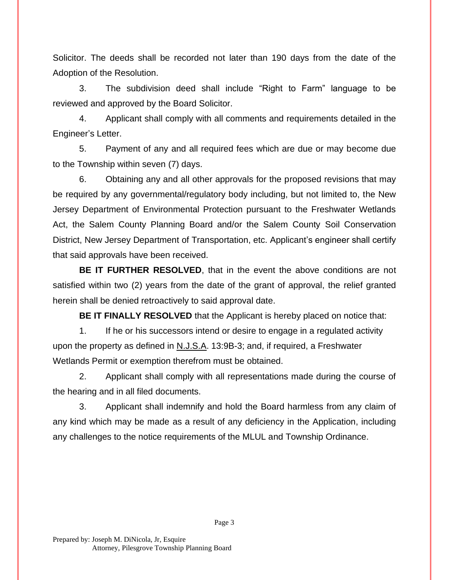Solicitor. The deeds shall be recorded not later than 190 days from the date of the Adoption of the Resolution.

3. The subdivision deed shall include "Right to Farm" language to be reviewed and approved by the Board Solicitor.

4. Applicant shall comply with all comments and requirements detailed in the Engineer's Letter.

5. Payment of any and all required fees which are due or may become due to the Township within seven (7) days.

6. Obtaining any and all other approvals for the proposed revisions that may be required by any governmental/regulatory body including, but not limited to, the New Jersey Department of Environmental Protection pursuant to the Freshwater Wetlands Act, the Salem County Planning Board and/or the Salem County Soil Conservation District, New Jersey Department of Transportation, etc. Applicant's engineer shall certify that said approvals have been received.

**BE IT FURTHER RESOLVED**, that in the event the above conditions are not satisfied within two (2) years from the date of the grant of approval, the relief granted herein shall be denied retroactively to said approval date.

**BE IT FINALLY RESOLVED** that the Applicant is hereby placed on notice that:

1. If he or his successors intend or desire to engage in a regulated activity upon the property as defined in N.J.S.A. 13:9B-3; and, if required, a Freshwater Wetlands Permit or exemption therefrom must be obtained.

2. Applicant shall comply with all representations made during the course of the hearing and in all filed documents.

3. Applicant shall indemnify and hold the Board harmless from any claim of any kind which may be made as a result of any deficiency in the Application, including any challenges to the notice requirements of the MLUL and Township Ordinance.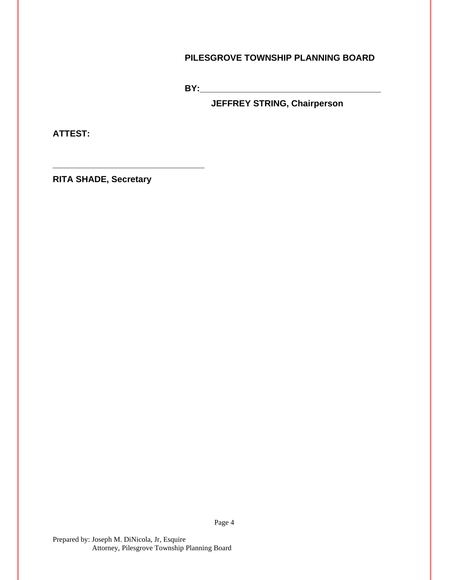## **PILESGROVE TOWNSHIP PLANNING BOARD**

**BY:** 

**JEFFREY STRING, Chairperson**

**ATTEST:**

**RITA SHADE, Secretary**

**\_\_\_\_\_\_\_\_\_\_\_\_\_\_\_\_\_\_\_\_\_\_\_\_\_\_\_\_\_\_\_**